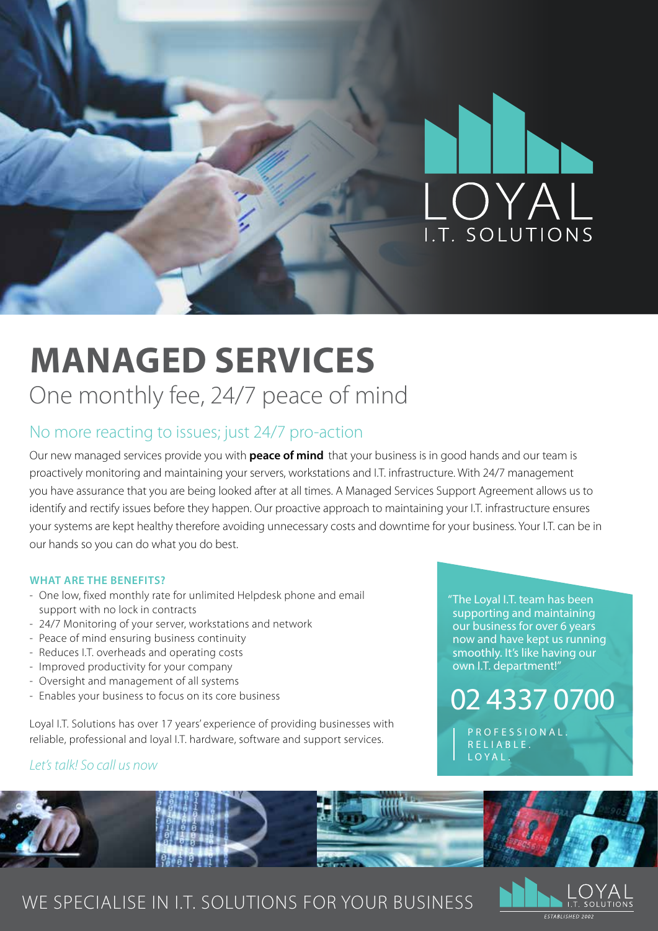

## **MANAGED SERVICES** One monthly fee, 24/7 peace of mind

### No more reacting to issues; just 24/7 pro-action

Our new managed services provide you with **peace of mind** that your business is in good hands and our team is proactively monitoring and maintaining your servers, workstations and I.T. infrastructure. With 24/7 management you have assurance that you are being looked after at all times. A Managed Services Support Agreement allows us to identify and rectify issues before they happen. Our proactive approach to maintaining your I.T. infrastructure ensures your systems are kept healthy therefore avoiding unnecessary costs and downtime for your business. Your I.T. can be in our hands so you can do what you do best.

### **WHAT ARE THE BENEFITS?**

- One low, fixed monthly rate for unlimited Helpdesk phone and email support with no lock in contracts
- 24/7 Monitoring of your server, workstations and network
- Peace of mind ensuring business continuity
- Reduces I.T. overheads and operating costs
- Improved productivity for your company
- Oversight and management of all systems
- Enables your business to focus on its core business

Loyal I.T. Solutions has over 17 years' experience of providing businesses with reliable, professional and loyal I.T. hardware, software and support services.

### *Let's talk! So call us now*

"The Loyal I.T. team has been supporting and maintaining our business for over 6 years now and have kept us running smoothly. It's like having our own I.T. department!"

## 02 4337 0700

P R O F E S S I O N A L R E L I A B L E . LOYAL.



## WE SPECIALISE IN I.T. SOLUTIONS FOR YOUR BUSINESS